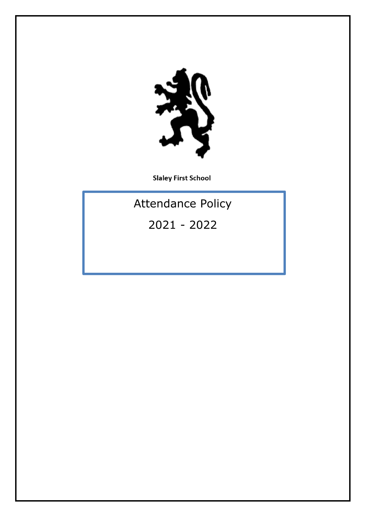

**Slaley First School** 

Attendance Policy

2021 - 2022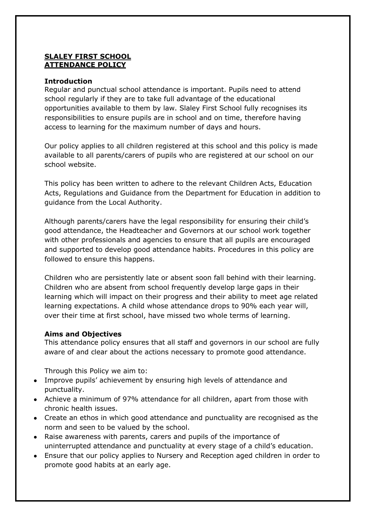### **SLALEY FIRST SCHOOL ATTENDANCE POLICY**

### **Introduction**

Regular and punctual school attendance is important. Pupils need to attend school regularly if they are to take full advantage of the educational opportunities available to them by law. Slaley First School fully recognises its responsibilities to ensure pupils are in school and on time, therefore having access to learning for the maximum number of days and hours.

Our policy applies to all children registered at this school and this policy is made available to all parents/carers of pupils who are registered at our school on our school website.

This policy has been written to adhere to the relevant Children Acts, Education Acts, Regulations and Guidance from the Department for Education in addition to guidance from the Local Authority.

Although parents/carers have the legal responsibility for ensuring their child's good attendance, the Headteacher and Governors at our school work together with other professionals and agencies to ensure that all pupils are encouraged and supported to develop good attendance habits. Procedures in this policy are followed to ensure this happens.

Children who are persistently late or absent soon fall behind with their learning. Children who are absent from school frequently develop large gaps in their learning which will impact on their progress and their ability to meet age related learning expectations. A child whose attendance drops to 90% each year will, over their time at first school, have missed two whole terms of learning.

### **Aims and Objectives**

This attendance policy ensures that all staff and governors in our school are fully aware of and clear about the actions necessary to promote good attendance.

Through this Policy we aim to:

- Improve pupils' achievement by ensuring high levels of attendance and punctuality.
- Achieve a minimum of 97% attendance for all children, apart from those with chronic health issues.
- Create an ethos in which good attendance and punctuality are recognised as the norm and seen to be valued by the school.
- Raise awareness with parents, carers and pupils of the importance of uninterrupted attendance and punctuality at every stage of a child's education.
- Ensure that our policy applies to Nursery and Reception aged children in order to promote good habits at an early age.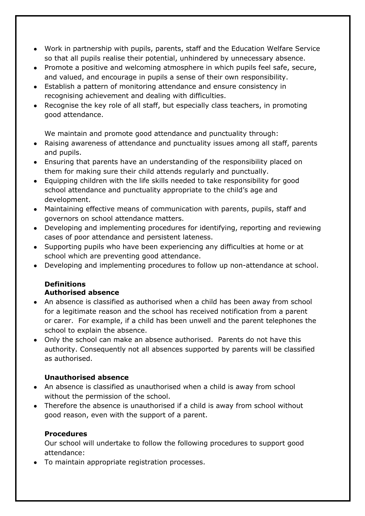- Work in partnership with pupils, parents, staff and the Education Welfare Service so that all pupils realise their potential, unhindered by unnecessary absence.
- Promote a positive and welcoming atmosphere in which pupils feel safe, secure, and valued, and encourage in pupils a sense of their own responsibility.
- Establish a pattern of monitoring attendance and ensure consistency in recognising achievement and dealing with difficulties.
- Recognise the key role of all staff, but especially class teachers, in promoting good attendance.

We maintain and promote good attendance and punctuality through:

- Raising awareness of attendance and punctuality issues among all staff, parents and pupils.
- Ensuring that parents have an understanding of the responsibility placed on them for making sure their child attends regularly and punctually.
- Equipping children with the life skills needed to take responsibility for good school attendance and punctuality appropriate to the child's age and development.
- Maintaining effective means of communication with parents, pupils, staff and governors on school attendance matters.
- Developing and implementing procedures for identifying, reporting and reviewing cases of poor attendance and persistent lateness.
- Supporting pupils who have been experiencing any difficulties at home or at school which are preventing good attendance.
- Developing and implementing procedures to follow up non-attendance at school.

## **Definitions Authorised absence**

- An absence is classified as authorised when a child has been away from school for a legitimate reason and the school has received notification from a parent or carer. For example, if a child has been unwell and the parent telephones the school to explain the absence.
- Only the school can make an absence authorised. Parents do not have this authority. Consequently not all absences supported by parents will be classified as authorised.

## **Unauthorised absence**

- An absence is classified as unauthorised when a child is away from school without the permission of the school.
- Therefore the absence is unauthorised if a child is away from school without good reason, even with the support of a parent.

# **Procedures**

Our school will undertake to follow the following procedures to support good attendance:

To maintain appropriate registration processes.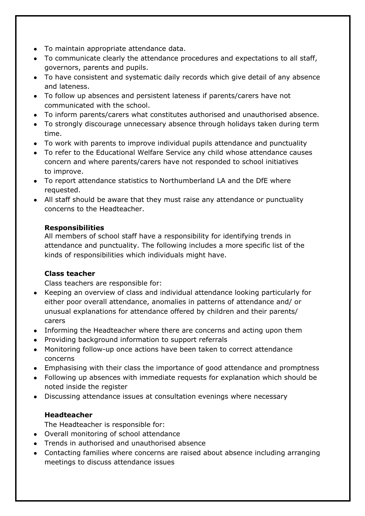- To maintain appropriate attendance data.
- To communicate clearly the attendance procedures and expectations to all staff, governors, parents and pupils.
- To have consistent and systematic daily records which give detail of any absence and lateness.
- To follow up absences and persistent lateness if parents/carers have not communicated with the school.
- To inform parents/carers what constitutes authorised and unauthorised absence.
- To strongly discourage unnecessary absence through holidays taken during term time.
- To work with parents to improve individual pupils attendance and punctuality
- To refer to the Educational Welfare Service any child whose attendance causes concern and where parents/carers have not responded to school initiatives to improve.
- To report attendance statistics to Northumberland LA and the DfE where requested.
- All staff should be aware that they must raise any attendance or punctuality concerns to the Headteacher.

# **Responsibilities**

All members of school staff have a responsibility for identifying trends in attendance and punctuality. The following includes a more specific list of the kinds of responsibilities which individuals might have.

# **Class teacher**

Class teachers are responsible for:

- Keeping an overview of class and individual attendance looking particularly for either poor overall attendance, anomalies in patterns of attendance and/ or unusual explanations for attendance offered by children and their parents/ carers
- Informing the Headteacher where there are concerns and acting upon them
- Providing background information to support referrals
- Monitoring follow-up once actions have been taken to correct attendance concerns
- Emphasising with their class the importance of good attendance and promptness
- Following up absences with immediate requests for explanation which should be noted inside the register
- Discussing attendance issues at consultation evenings where necessary

# **Headteacher**

The Headteacher is responsible for:

- Overall monitoring of school attendance
- Trends in authorised and unauthorised absence
- Contacting families where concerns are raised about absence including arranging meetings to discuss attendance issues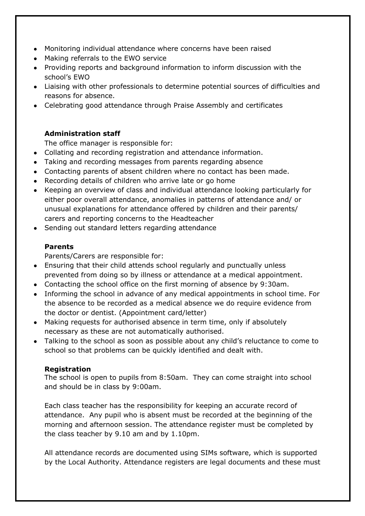- Monitoring individual attendance where concerns have been raised
- Making referrals to the EWO service
- Providing reports and background information to inform discussion with the school's EWO
- Liaising with other professionals to determine potential sources of difficulties and reasons for absence.
- Celebrating good attendance through Praise Assembly and certificates

## **Administration staff**

The office manager is responsible for:

- Collating and recording registration and attendance information.
- Taking and recording messages from parents regarding absence
- Contacting parents of absent children where no contact has been made.
- Recording details of children who arrive late or go home
- Keeping an overview of class and individual attendance looking particularly for either poor overall attendance, anomalies in patterns of attendance and/ or unusual explanations for attendance offered by children and their parents/ carers and reporting concerns to the Headteacher
- Sending out standard letters regarding attendance

## **Parents**

Parents/Carers are responsible for:

- Ensuring that their child attends school regularly and punctually unless prevented from doing so by illness or attendance at a medical appointment.
- Contacting the school office on the first morning of absence by 9:30am.
- Informing the school in advance of any medical appointments in school time. For the absence to be recorded as a medical absence we do require evidence from the doctor or dentist. (Appointment card/letter)
- Making requests for authorised absence in term time, only if absolutely necessary as these are not automatically authorised.
- Talking to the school as soon as possible about any child's reluctance to come to school so that problems can be quickly identified and dealt with.

## **Registration**

The school is open to pupils from 8:50am. They can come straight into school and should be in class by 9:00am.

Each class teacher has the responsibility for keeping an accurate record of attendance. Any pupil who is absent must be recorded at the beginning of the morning and afternoon session. The attendance register must be completed by the class teacher by 9.10 am and by 1.10pm.

All attendance records are documented using SIMs software, which is supported by the Local Authority. Attendance registers are legal documents and these must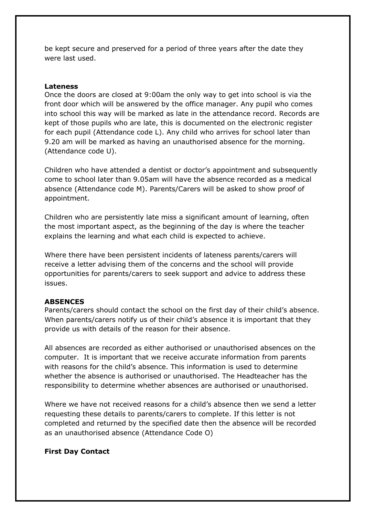be kept secure and preserved for a period of three years after the date they were last used.

#### **Lateness**

Once the doors are closed at 9:00am the only way to get into school is via the front door which will be answered by the office manager. Any pupil who comes into school this way will be marked as late in the attendance record. Records are kept of those pupils who are late, this is documented on the electronic register for each pupil (Attendance code L). Any child who arrives for school later than 9.20 am will be marked as having an unauthorised absence for the morning. (Attendance code U).

Children who have attended a dentist or doctor's appointment and subsequently come to school later than 9.05am will have the absence recorded as a medical absence (Attendance code M). Parents/Carers will be asked to show proof of appointment.

Children who are persistently late miss a significant amount of learning, often the most important aspect, as the beginning of the day is where the teacher explains the learning and what each child is expected to achieve.

Where there have been persistent incidents of lateness parents/carers will receive a letter advising them of the concerns and the school will provide opportunities for parents/carers to seek support and advice to address these issues.

#### **ABSENCES**

Parents/carers should contact the school on the first day of their child's absence. When parents/carers notify us of their child's absence it is important that they provide us with details of the reason for their absence.

All absences are recorded as either authorised or unauthorised absences on the computer. It is important that we receive accurate information from parents with reasons for the child's absence. This information is used to determine whether the absence is authorised or unauthorised. The Headteacher has the responsibility to determine whether absences are authorised or unauthorised.

Where we have not received reasons for a child's absence then we send a letter requesting these details to parents/carers to complete. If this letter is not completed and returned by the specified date then the absence will be recorded as an unauthorised absence (Attendance Code O)

#### **First Day Contact**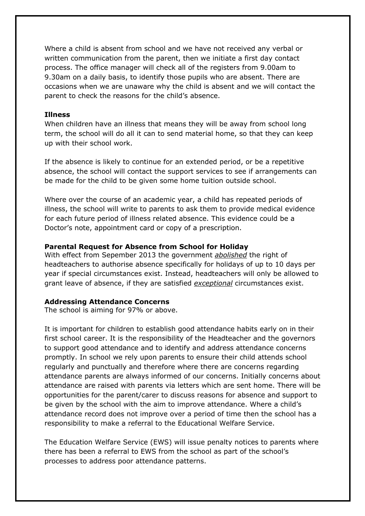Where a child is absent from school and we have not received any verbal or written communication from the parent, then we initiate a first day contact process. The office manager will check all of the registers from 9.00am to 9.30am on a daily basis, to identify those pupils who are absent. There are occasions when we are unaware why the child is absent and we will contact the parent to check the reasons for the child's absence.

#### **Illness**

When children have an illness that means they will be away from school long term, the school will do all it can to send material home, so that they can keep up with their school work.

If the absence is likely to continue for an extended period, or be a repetitive absence, the school will contact the support services to see if arrangements can be made for the child to be given some home tuition outside school.

Where over the course of an academic year, a child has repeated periods of illness, the school will write to parents to ask them to provide medical evidence for each future period of illness related absence. This evidence could be a Doctor's note, appointment card or copy of a prescription.

### **Parental Request for Absence from School for Holiday**

With effect from Sepember 2013 the government *abolished* the right of headteachers to authorise absence specifically for holidays of up to 10 days per year if special circumstances exist. Instead, headteachers will only be allowed to grant leave of absence, if they are satisfied *exceptional* circumstances exist.

#### **Addressing Attendance Concerns**

The school is aiming for 97% or above.

It is important for children to establish good attendance habits early on in their first school career. It is the responsibility of the Headteacher and the governors to support good attendance and to identify and address attendance concerns promptly. In school we rely upon parents to ensure their child attends school regularly and punctually and therefore where there are concerns regarding attendance parents are always informed of our concerns. Initially concerns about attendance are raised with parents via letters which are sent home. There will be opportunities for the parent/carer to discuss reasons for absence and support to be given by the school with the aim to improve attendance. Where a child's attendance record does not improve over a period of time then the school has a responsibility to make a referral to the Educational Welfare Service.

The Education Welfare Service (EWS) will issue penalty notices to parents where there has been a referral to EWS from the school as part of the school's processes to address poor attendance patterns.